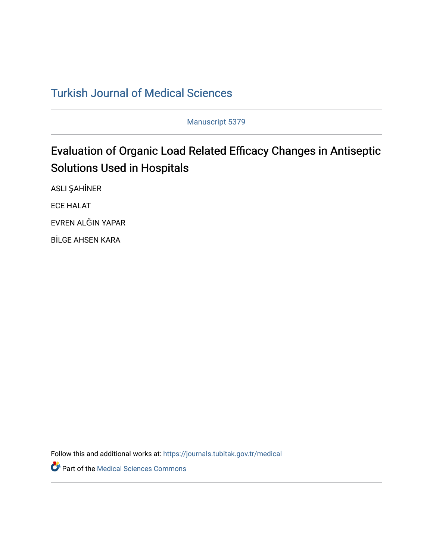# [Turkish Journal of Medical Sciences](https://journals.tubitak.gov.tr/medical)

Manuscript 5379

# Evaluation of Organic Load Related Efficacy Changes in Antiseptic Solutions Used in Hospitals

ASLI ŞAHİNER

ECE HALAT

EVREN ALĞIN YAPAR

BİLGE AHSEN KARA

Follow this and additional works at: [https://journals.tubitak.gov.tr/medical](https://journals.tubitak.gov.tr/medical?utm_source=journals.tubitak.gov.tr%2Fmedical%2Fvol52%2Fiss3%2F37&utm_medium=PDF&utm_campaign=PDFCoverPages) 

Part of the [Medical Sciences Commons](https://network.bepress.com/hgg/discipline/664?utm_source=journals.tubitak.gov.tr%2Fmedical%2Fvol52%2Fiss3%2F37&utm_medium=PDF&utm_campaign=PDFCoverPages)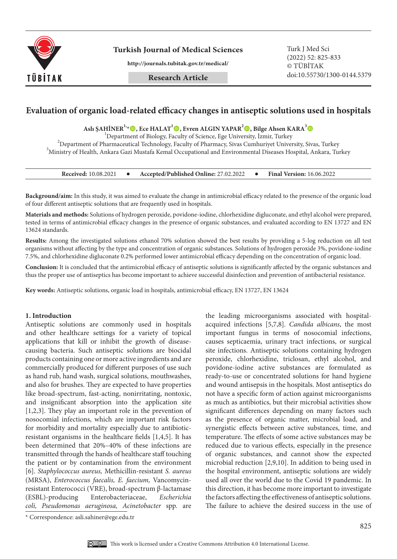

**Turkish Journal of Medical Sciences** Turk J Med Sci

**http://journals.tubitak.gov.tr/medical/**

(2022) 52: 825-833 © TÜBİTAK doi:10.55730/1300-0144.5379

# **Evaluation of organic load-related efficacy changes in antiseptic solutions used in hospitals**

**Aslı ŞAHİNER1,\*, Ece HALAT<sup>1</sup> , Evren ALGIN YAPAR<sup>2</sup> , Bilge Ahsen KARA3**

<sup>1</sup> Department of Biology, Faculty of Science, Ege University, İzmir, Turkey<br><sup>2</sup> Department of Bharmacqutical Tachnology, Faculty of Bharmacy, Siyas Cumhuriyat Univers <sup>2</sup>Department of Pharmaceutical Technology, Faculty of Pharmacy, Sivas Cumhuriyet University, Sivas, Turkey  $^3$ Ministry of Health, Ankara Gazi Mustafa Kemal Occupational and Environmental Diseases Hospital, Ankara, Turkey

| <b>Received: 10.08.2021</b> |  | Accepted/Published Online: 27.02.2022 |  | <b>Final Version: 16.06.2022</b> |
|-----------------------------|--|---------------------------------------|--|----------------------------------|
|-----------------------------|--|---------------------------------------|--|----------------------------------|

**Background/aim:** In this study, it was aimed to evaluate the change in antimicrobial efficacy related to the presence of the organic load of four different antiseptic solutions that are frequently used in hospitals.

**Materials and methods:** Solutions of hydrogen peroxide, povidone-iodine, chlorhexidine digluconate, and ethyl alcohol were prepared, tested in terms of antimicrobial efficacy changes in the presence of organic substances, and evaluated according to EN 13727 and EN 13624 standards.

**Results:** Among the investigated solutions ethanol 70% solution showed the best results by providing a 5-log reduction on all test organisms without affecting by the type and concentration of organic substances. Solutions of hydrogen peroxide 3%, povidone-iodine 7.5%, and chlorhexidine digluconate 0.2% performed lower antimicrobial efficacy depending on the concentration of organic load.

**Conclusion:** It is concluded that the antimicrobial efficacy of antiseptic solutions is significantly affected by the organic substances and thus the proper use of antiseptics has become important to achieve successful disinfection and prevention of antibacterial resistance.

**Key words:** Antiseptic solutions, organic load in hospitals, antimicrobial efficacy, EN 13727, EN 13624

#### **1. Introduction**

Antiseptic solutions are commonly used in hospitals and other healthcare settings for a variety of topical applications that kill or inhibit the growth of diseasecausing bacteria. Such antiseptic solutions are biocidal products containing one or more active ingredients and are commercially produced for different purposes of use such as hand rub, hand wash, surgical solutions, mouthwashes, and also for brushes. They are expected to have properties like broad-spectrum, fast-acting, nonirritating, nontoxic, and insignificant absorption into the application site [1,2,3]. They play an important role in the prevention of nosocomial infections, which are important risk factors for morbidity and mortality especially due to antibioticresistant organisms in the healthcare fields [1,4,5]. It has been determined that 20%–40% of these infections are transmitted through the hands of healthcare staff touching the patient or by contamination from the environment [6]. *Staphylococcus aureus,* Methicillin-resistant *S. aureus* (MRSA), *Enterococcus faecalis, E. faecium,* Vancomycinresistant Enterococci (VRE), broad-spectrum β-lactamase (ESBL)-producing Enterobacteriaceae, *Escherichia coli, Pseudomonas aeruginosa, Acinetobacter* spp*.* are

the leading microorganisms associated with hospitalacquired infections [5,7,8]. *Candida albicans*, the most important fungus in terms of nosocomial infections, causes septicaemia, urinary tract infections, or surgical site infections. Antiseptic solutions containing hydrogen peroxide, chlorhexidine, triclosan, ethyl alcohol, and povidone-iodine active substances are formulated as ready-to-use or concentrated solutions for hand hygiene and wound antisepsis in the hospitals. Most antiseptics do not have a specific form of action against microorganisms as much as antibiotics, but their microbial activities show significant differences depending on many factors such as the presence of organic matter, microbial load, and synergistic effects between active substances, time, and temperature. The effects of some active substances may be reduced due to various effects, especially in the presence of organic substances, and cannot show the expected microbial reduction [2,9,10]. In addition to being used in the hospital environment, antiseptic solutions are widely used all over the world due to the Covid 19 pandemic. In this direction, it has become more important to investigate the factors affecting the effectiveness of antiseptic solutions. The failure to achieve the desired success in the use of

<sup>\*</sup> Correspondence: asli.sahiner@ege.edu.tr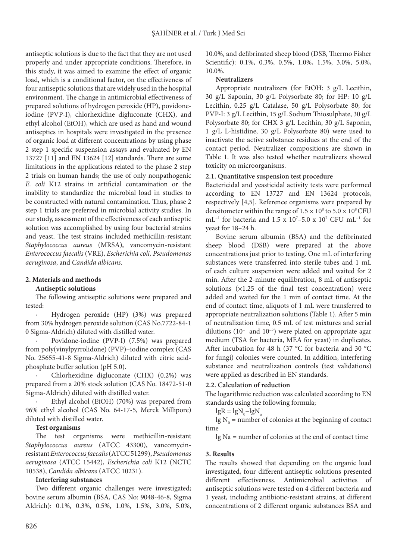antiseptic solutions is due to the fact that they are not used properly and under appropriate conditions. Therefore, in this study, it was aimed to examine the effect of organic load, which is a conditional factor, on the effectiveness of four antiseptic solutions that are widely used in the hospital environment. The change in antimicrobial effectiveness of prepared solutions of hydrogen peroxide (HP), povidoneiodine (PVP-I), chlorhexidine digluconate (CHX), and ethyl alcohol (EtOH), which are used as hand and wound antiseptics in hospitals were investigated in the presence of organic load at different concentrations by using phase 2 step 1 specific suspension assays and evaluated by EN 13727 [11] and EN 13624 [12] standards. There are some limitations in the applications related to the phase 2 step 2 trials on human hands; the use of only nonpathogenic *E. coli* K12 strains in artificial contamination or the inability to standardize the microbial load in studies to be constructed with natural contamination. Thus, phase 2 step 1 trials are preferred in microbial activity studies. In our study, assessment of the effectiveness of each antiseptic solution was accomplished by using four bacterial strains and yeast. The test strains included methicillin-resistant *Staphylococcus aureus* (MRSA), vancomycin-resistant *Enterococcus faecalis* (VRE), *Escherichia coli, Pseudomonas aeruginosa*, and *Candida albicans*.

# **2. Materials and methods**

### **Antiseptic solutions**

The following antiseptic solutions were prepared and tested:

· Hydrogen peroxide (HP) (3%) was prepared from 30% hydrogen peroxide solution (CAS No.7722-84-1 0 Sigma-Aldrich) diluted with distilled water.

Povidone-iodine (PVP-I) (7.5%) was prepared from poly(vinylpyrrolidone) (PVP)–iodine complex (CAS No. 25655-41-8 Sigma-Aldrich) diluted with citric acidphosphate buffer solution (pH 5.0).

· Chlorhexidine digluconate (CHX) (0.2%) was prepared from a 20% stock solution (CAS No. 18472-51-0 Sigma-Aldrich) diluted with distilled water.

Ethyl alcohol (EtOH) (70%) was prepared from 96% ethyl alcohol (CAS No. 64-17-5, Merck Millipore) diluted with distilled water.

### **Test organisms**

The test organisms were methicillin-resistant *Staphylococcus aureus* (ATCC 43300), vancomycinresistant *Enterococcus faecalis* (ATCC 51299), *Pseudomonas aeruginosa* (ATCC 15442), *Escherichia coli* K12 (NCTC 10538), *Candida albicans* (ATCC 10231).

### **Interfering substances**

Two different organic challenges were investigated; bovine serum albumin (BSA, CAS No: 9048-46-8, Sigma Aldrich): 0.1%, 0.3%, 0.5%, 1.0%, 1.5%, 3.0%, 5.0%,

10.0%, and defibrinated sheep blood (DSB, Thermo Fisher Scientific): 0.1%, 0.3%, 0.5%, 1.0%, 1.5%, 3.0%, 5.0%, 10.0%.

# **Neutralizers**

Appropriate neutralizers (for EtOH: 3 g/L Lecithin, 30 g/L Saponin, 30 g/L Polysorbate 80; for HP: 10 g/L Lecithin, 0.25 g/L Catalase, 50 g/L Polysorbate 80; for PVP-I: 3 g/L Lecithin, 15 g/L Sodium Thiosulphate, 30 g/L Polysorbate 80; for CHX 3 g/L Lecithin, 30 g/L Saponin, 1 g/L L-histidine, 30 g/L Polysorbate 80) were used to inactivate the active substance residues at the end of the contact period. Neutralizer compositions are shown in Table 1. It was also tested whether neutralizers showed toxicity on microorganisms.

# **2.1. Quantitative suspension test procedure**

Bactericidal and yeasticidal activity tests were performed according to EN 13727 and EN 13624 protocols, respectively [4,5]. Reference organisms were prepared by densitometer within the range of  $1.5 \times 10^8$  to  $5.0 \times 10^8$  CFU mL<sup>-1</sup> for bacteria and 1.5 x 10<sup>7</sup>-5.0 x 10<sup>7</sup> CFU mL<sup>-1</sup> for yeast for 18–24 h.

Bovine serum albumin (BSA) and the defibrinated sheep blood (DSB) were prepared at the above concentrations just prior to testing. One mL of interfering substances were transferred into sterile tubes and 1 mL of each culture suspension were added and waited for 2 min. After the 2-minute equilibration, 8 mL of antiseptic solutions  $(x1.25 \text{ of the final test concentration})$  were added and waited for the 1 min of contact time. At the end of contact time, aliquots of 1 mL were transferred to appropriate neutralization solutions (Table 1). After 5 min of neutralization time, 0.5 mL of test mixtures and serial dilutions (10−1 and 10−2) were plated on appropriate agar medium (TSA for bacteria, MEA for yeast) in duplicates. After incubation for 48 h (37 °C for bacteria and 30 °C for fungi) colonies were counted. In addition, interfering substance and neutralization controls (test validations) were applied as described in EN standards.

### **2.2. Calculation of reduction**

The logarithmic reduction was calculated according to EN standards using the following formula;

 $lgR = lgN_{0} - lgN_{a}$ 

lg  $N_0$  = number of colonies at the beginning of contact time

lg Na = number of colonies at the end of contact time

# **3. Results**

The results showed that depending on the organic load investigated, four different antiseptic solutions presented different effectiveness. Antimicrobial activities of antiseptic solutions were tested on 4 different bacteria and 1 yeast, including antibiotic-resistant strains, at different concentrations of 2 different organic substances BSA and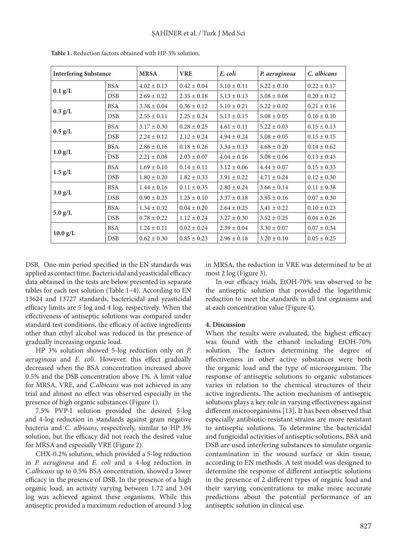| <b>Interfering Substance</b>   |            | <b>MRSA</b>     | <b>VRE</b>      | E. coli         | P. aeruginosa   | C. albicans     |
|--------------------------------|------------|-----------------|-----------------|-----------------|-----------------|-----------------|
| $0.1$ g/L                      | <b>BSA</b> | $4.02 \pm 0.13$ | $0.42 \pm 0.04$ | $5.10 \pm 0.11$ | $5.22 \pm 0.10$ | $0.22 \pm 0.17$ |
|                                | <b>DSB</b> | $2.69 \pm 0.22$ | $2.35 \pm 0.18$ | $5.13 \pm 0.13$ | $5.08 \pm 0.08$ | $0.20 \pm 0.12$ |
|                                | <b>BSA</b> | $3.38 \pm 0.04$ | $0.36 \pm 0.12$ | $5.10 \pm 0.21$ | $5.22 \pm 0.02$ | $0.21 \pm 0.16$ |
| $0.3$ g/L                      | DSB        | $2.55 \pm 0.11$ | $2.25 \pm 0.24$ | $5.13 \pm 0.15$ | $5.08 \pm 0.05$ | $0.16 \pm 0.10$ |
| BSA<br>$0.5$ g/L<br><b>DSB</b> |            | $3.17 \pm 0.30$ | $0.28 \pm 0.25$ | $4.61 \pm 0.11$ | $5.22 \pm 0.03$ | $0.15 \pm 0.13$ |
|                                |            | $2.24 \pm 0.12$ | $2.12 \pm 0.24$ | $4.94 \pm 0.24$ | $5.08 \pm 0.05$ | $0.15 \pm 0.15$ |
| $1.0$ g/L                      | <b>BSA</b> | $2.86 \pm 0.16$ | $0.18 \pm 0.26$ | $3.34 \pm 0.13$ | $4.68 \pm 0.20$ | $0.14 \pm 0.62$ |
|                                | <b>DSB</b> | $2.21 \pm 0.08$ | $2.03 \pm 0.07$ | $4.04 \pm 0.16$ | $5.08 \pm 0.06$ | $0.13 \pm 0.45$ |
|                                | <b>BSA</b> | $1.69 \pm 0.10$ | $0.14 \pm 0.11$ | $3.12 \pm 0.06$ | $4.44 \pm 0.07$ | $0.15 \pm 0.33$ |
| $1.5$ g/L                      | DSB        | $1.80 \pm 0.20$ | $1.82 \pm 0.33$ | $3.91 \pm 0.22$ | $4.71 \pm 0.24$ | $0.12 \pm 0.30$ |
| $3.0$ g/L                      | <b>BSA</b> | $1.44 \pm 0.16$ | $0.11 \pm 0.35$ | $2.80 \pm 0.24$ | $3.66 \pm 0.14$ | $0.11 \pm 0.38$ |
|                                | DSB        | $0.90 \pm 0.25$ | $1.25 \pm 0.10$ | $3.37 \pm 0.18$ | $3.95 \pm 0.16$ | $0.07 \pm 0.30$ |
| $5.0$ g/L                      | <b>BSA</b> | $1.34 \pm 0.32$ | $0.04 \pm 0.20$ | $2.64 \pm 0.25$ | $3.41 \pm 0.22$ | $0.10 \pm 0.23$ |
|                                | <b>DSB</b> | $0.78 \pm 0.22$ | $1.12 \pm 0.24$ | $3.27 \pm 0.30$ | $3.52 \pm 0.25$ | $0.04 \pm 0.26$ |
| $10.0$ g/L                     | <b>BSA</b> | $1.24 \pm 0.11$ | $0.02 \pm 0.24$ | $2.39 \pm 0.04$ | $3.30 \pm 0.07$ | $0.07 \pm 0.34$ |
|                                | <b>DSB</b> | $0.62 \pm 0.30$ | $0.85 \pm 0.23$ | $2.96 \pm 0.18$ | $3.20 \pm 0.10$ | $0.05 \pm 0.25$ |

**Table 1.** Reduction factors obtained with HP-3% solution.

DSB. One-min period specified in the EN standards was applied as contact time. Bactericidal and yeasticidal efficacy data obtained in the tests are below presented in separate tables for each test solution (Table 1–4). According to EN 13624 and 13727 standards, bactericidal and yeasticidal efficacy limits are 5 log and 4 log, respectively. When the effectiveness of antiseptic solutions was compared under standard test conditions, the efficacy of active ingredients other than ethyl alcohol was reduced in the presence of gradually increasing organic load.

HP 3% solution showed 5-log reduction only on *P. aeruginosa* and *E. coli*. However, this effect gradually decreased when the BSA concentration increased above 0.5% and the DSB concentration above 1%. A limit value for MRSA, VRE, and *C.albicans* was not achieved in any trial and almost no effect was observed especially in the presence of high organic substances (Figure 1).

7.5% PVP-I solution provided the desired 5-log and 4-log reduction in standards against gram negative bacteria and *C. albicans*, respectively, similar to HP 3% solution, but the efficacy did not reach the desired value for MRSA and especially VRE (Figure 2).

CHX-0.2% solution, which provided a 5-log reduction in *P. aeruginosa* and *E. coli* and a 4-log reduction in *C.albicans* up to 0.5% BSA concentration, showed a lower efficacy in the presence of DSB. In the presence of a high organic load, an activity varying between 1.72 and 3.04 log was achieved against these organisms. While this antiseptic provided a maximum reduction of around 3 log in MRSA, the reduction in VRE was determined to be at most 2 log (Figure 3).

In our efficacy trials, EtOH-70% was observed to be the antiseptic solution that provided the logarithmic reduction to meet the standards in all test organisms and at each concentration value (Figure 4).

#### **4. Discussion**

When the results were evaluated, the highest efficacy was found with the ethanol including EtOH-70% solution. The factors determining the degree of effectiveness in other active substances were both the organic load and the type of microorganism. The response of antiseptic solutions to organic substances varies in relation to the chemical structures of their active ingredients. The action mechanism of antiseptic solutions plays a key role in varying effectiveness against different microorganisms [13]. It has been observed that especially antibiotic-resistant strains are more resistant to antiseptic solutions. To determine the bactericidal and fungicidal activities of antiseptic solutions, BSA and DSB are used interfering substances to simulate organic contamination in the wound surface or skin tissue, according to EN methods. A test model was designed to determine the response of different antiseptic solutions in the presence of 2 different types of organic load and their varying concentrations to make more accurate predictions about the potential performance of an antiseptic solution in clinical use.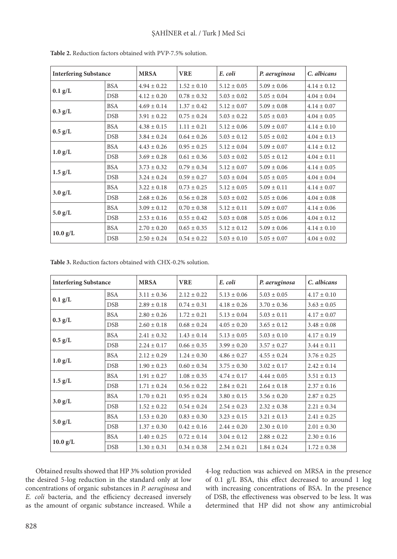| <b>Interfering Substance</b> |            | <b>MRSA</b>     | <b>VRE</b>      | E. coli         | P. aeruginosa   | C. albicans     |
|------------------------------|------------|-----------------|-----------------|-----------------|-----------------|-----------------|
| $0.1$ g/L                    | <b>BSA</b> | $4.94 \pm 0.22$ | $1.52 \pm 0.10$ | $5.12 \pm 0.05$ | $5.09 \pm 0.06$ | $4.14 \pm 0.12$ |
|                              | DSB        | $4.12 \pm 0.20$ | $0.78 \pm 0.32$ | $5.03 \pm 0.02$ | $5.05 \pm 0.04$ | $4.04 \pm 0.04$ |
|                              | <b>BSA</b> | $4.69 \pm 0.14$ | $1.37 \pm 0.42$ | $5.12 \pm 0.07$ | $5.09 \pm 0.08$ | $4.14 \pm 0.07$ |
| $0.3$ g/L                    | DSB        | $3.91 \pm 0.22$ | $0.75 \pm 0.24$ | $5.03 \pm 0.22$ | $5.05 \pm 0.03$ | $4.04 \pm 0.05$ |
| $0.5$ g/L                    | <b>BSA</b> | $4.38 \pm 0.15$ | $1.11 \pm 0.21$ | $5.12 \pm 0.06$ | $5.09 \pm 0.07$ | $4.14 \pm 0.10$ |
|                              | <b>DSB</b> | $3.84 \pm 0.24$ | $0.64 \pm 0.26$ | $5.03 \pm 0.12$ | $5.05 \pm 0.02$ | $4.04 \pm 0.13$ |
| $1.0$ g/L                    | <b>BSA</b> | $4.43 \pm 0.26$ | $0.95 \pm 0.25$ | $5.12 \pm 0.04$ | $5.09 \pm 0.07$ | $4.14 \pm 0.12$ |
|                              | DSB        | $3.69 \pm 0.28$ | $0.61 \pm 0.36$ | $5.03 \pm 0.02$ | $5.05 \pm 0.12$ | $4.04 \pm 0.11$ |
|                              | <b>BSA</b> | $3.73 \pm 0.32$ | $0.79 \pm 0.34$ | $5.12 \pm 0.07$ | $5.09 \pm 0.06$ | $4.14 \pm 0.05$ |
| $1.5$ g/L                    | DSB        | $3.24 \pm 0.24$ | $0.59 \pm 0.27$ | $5.03 \pm 0.04$ | $5.05 \pm 0.05$ | $4.04 \pm 0.04$ |
| $3.0$ g/L                    | <b>BSA</b> | $3.22 \pm 0.18$ | $0.73 \pm 0.25$ | $5.12 \pm 0.05$ | $5.09 \pm 0.11$ | $4.14 \pm 0.07$ |
|                              | <b>DSB</b> | $2.68 \pm 0.26$ | $0.56 \pm 0.28$ | $5.03 \pm 0.02$ | $5.05 \pm 0.06$ | $4.04 \pm 0.08$ |
| $5.0$ g/L                    | <b>BSA</b> | $3.09 \pm 0.12$ | $0.70 \pm 0.38$ | $5.12 \pm 0.11$ | $5.09 \pm 0.07$ | $4.14 \pm 0.06$ |
|                              | <b>DSB</b> | $2.53 \pm 0.16$ | $0.55 \pm 0.42$ | $5.03 \pm 0.08$ | $5.05 \pm 0.06$ | $4.04 \pm 0.12$ |
| $10.0$ $g/L$                 | <b>BSA</b> | $2.70 \pm 0.20$ | $0.65 \pm 0.35$ | $5.12 \pm 0.12$ | $5.09 \pm 0.06$ | $4.14 \pm 0.10$ |
|                              | DSB        | $2.50 \pm 0.24$ | $0.54 \pm 0.22$ | $5.03 \pm 0.10$ | $5.05 \pm 0.07$ | $4.04 \pm 0.02$ |

**Table 2.** Reduction factors obtained with PVP-7.5% solution.

**Table 3.** Reduction factors obtained with CHX-0.2% solution.

| <b>Interfering Substance</b> |            | <b>MRSA</b>     | <b>VRE</b>      | E. coli         | P. aeruginosa   | C. albicans     |
|------------------------------|------------|-----------------|-----------------|-----------------|-----------------|-----------------|
| $0.1$ g/L                    | <b>BSA</b> | $3.11 \pm 0.36$ | $2.12 \pm 0.22$ | $5.13 \pm 0.06$ | $5.03 \pm 0.05$ | $4.17 \pm 0.10$ |
|                              | DSB        | $2.89 \pm 0.18$ | $0.74 \pm 0.31$ | $4.18 \pm 0.26$ | $3.70 \pm 0.36$ | $3.63 \pm 0.05$ |
|                              | <b>BSA</b> | $2.80 \pm 0.26$ | $1.72 \pm 0.21$ | $5.13 \pm 0.04$ | $5.03 \pm 0.11$ | $4.17 \pm 0.07$ |
| $0.3$ g/L                    | DSB        | $2.60 \pm 0.18$ | $0.68 \pm 0.24$ | $4.05 \pm 0.20$ | $3.65 \pm 0.12$ | $3.48 \pm 0.08$ |
| $0.5$ g/L                    | <b>BSA</b> | $2.41 \pm 0.32$ | $1.43 \pm 0.14$ | $5.13 \pm 0.05$ | $5.03 \pm 0.10$ | $4.17 \pm 0.19$ |
|                              | <b>DSB</b> | $2.24 \pm 0.17$ | $0.66 \pm 0.35$ | $3.99 \pm 0.20$ | $3.57 \pm 0.27$ | $3.44 \pm 0.11$ |
|                              | <b>BSA</b> | $2.12 \pm 0.29$ | $1.24 \pm 0.30$ | $4.86 \pm 0.27$ | $4.55 \pm 0.24$ | $3.76 \pm 0.25$ |
| $1.0$ g/L                    | <b>DSB</b> | $1.90 \pm 0.23$ | $0.60 \pm 0.34$ | $3.75 \pm 0.30$ | $3.02 \pm 0.17$ | $2.42 \pm 0.14$ |
|                              | <b>BSA</b> | $1.91 \pm 0.27$ | $1.08 \pm 0.35$ | $4.74 \pm 0.17$ | $4.44 \pm 0.05$ | $3.51 \pm 0.13$ |
| $1.5$ g/L                    | DSB        | $1.71 \pm 0.24$ | $0.56 \pm 0.22$ | $2.84 \pm 0.21$ | $2.64 \pm 0.18$ | $2.37 \pm 0.16$ |
| $3.0$ g/L                    | <b>BSA</b> | $1.70 \pm 0.21$ | $0.95 \pm 0.24$ | $3.80 \pm 0.15$ | $3.56 \pm 0.20$ | $2.87 \pm 0.25$ |
|                              | <b>DSB</b> | $1.52 \pm 0.22$ | $0.54 \pm 0.24$ | $2.54 \pm 0.23$ | $2.32 \pm 0.38$ | $2.21 \pm 0.34$ |
| $5.0$ g/L                    | <b>BSA</b> | $1.53 \pm 0.20$ | $0.83 \pm 0.30$ | $3.23 \pm 0.15$ | $3.21 \pm 0.13$ | $2.41 \pm 0.25$ |
|                              | <b>DSB</b> | $1.37 \pm 0.30$ | $0.42 \pm 0.16$ | $2.44 \pm 0.20$ | $2.30 \pm 0.10$ | $2.01 \pm 0.30$ |
| $10.0$ g/L                   | <b>BSA</b> | $1.40 \pm 0.25$ | $0.72 \pm 0.14$ | $3.04 \pm 0.12$ | $2.88 \pm 0.22$ | $2.30 \pm 0.16$ |
|                              | DSB        | $1.30 \pm 0.31$ | $0.34 \pm 0.38$ | $2.34 \pm 0.21$ | $1.84 \pm 0.24$ | $1.72 \pm 0.38$ |

Obtained results showed that HP 3% solution provided the desired 5-log reduction in the standard only at low concentrations of organic substances in *P. aeruginosa* and *E. coli* bacteria, and the efficiency decreased inversely as the amount of organic substance increased. While a 4-log reduction was achieved on MRSA in the presence of 0.1 g/L BSA, this effect decreased to around 1 log with increasing concentrations of BSA. In the presence of DSB, the effectiveness was observed to be less. It was determined that HP did not show any antimicrobial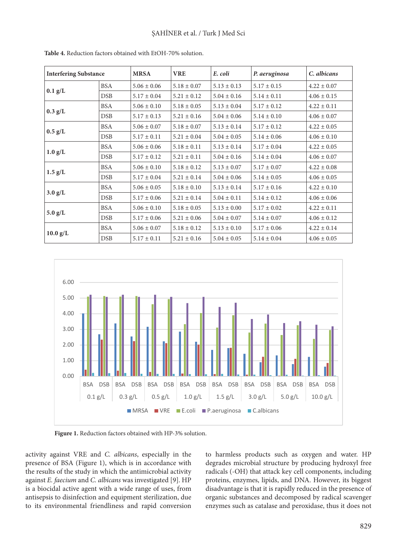| <b>Interfering Substance</b> |            | <b>MRSA</b>     | <b>VRE</b>      | E. coli         | P. aeruginosa   | C. albicans     |
|------------------------------|------------|-----------------|-----------------|-----------------|-----------------|-----------------|
| $0.1$ g/L                    | <b>BSA</b> | $5.06 \pm 0.06$ | $5.18 \pm 0.07$ | $5.13 \pm 0.13$ | $5.17 \pm 0.15$ | $4.22 \pm 0.07$ |
|                              | <b>DSB</b> | $5.17 \pm 0.04$ | $5.21 \pm 0.12$ | $5.04 \pm 0.16$ | $5.14 \pm 0.11$ | $4.06 \pm 0.15$ |
| $0.3$ g/L                    | <b>BSA</b> | $5.06 \pm 0.10$ | $5.18 \pm 0.05$ | $5.13 \pm 0.04$ | $5.17 \pm 0.12$ | $4.22 \pm 0.11$ |
|                              | <b>DSB</b> | $5.17 \pm 0.13$ | $5.21 \pm 0.16$ | $5.04 \pm 0.06$ | $5.14 \pm 0.10$ | $4.06 \pm 0.07$ |
| $0.5$ g/L                    | BSA        | $5.06 \pm 0.07$ | $5.18 \pm 0.07$ | $5.13 \pm 0.14$ | $5.17 \pm 0.12$ | $4.22 \pm 0.05$ |
|                              | DSB        | $5.17 \pm 0.11$ | $5.21 \pm 0.04$ | $5.04 \pm 0.05$ | $5.14 \pm 0.06$ | $4.06 \pm 0.10$ |
| $1.0$ g/L                    | <b>BSA</b> | $5.06 \pm 0.06$ | $5.18 \pm 0.11$ | $5.13 \pm 0.14$ | $5.17 \pm 0.04$ | $4.22 \pm 0.05$ |
|                              | DSB        | $5.17 \pm 0.12$ | $5.21 \pm 0.11$ | $5.04 \pm 0.16$ | $5.14 \pm 0.04$ | $4.06 \pm 0.07$ |
| $1.5$ g/L                    | BSA        | $5.06 \pm 0.10$ | $5.18 \pm 0.12$ | $5.13 \pm 0.07$ | $5.17 \pm 0.07$ | $4.22 \pm 0.08$ |
|                              | <b>DSB</b> | $5.17 \pm 0.04$ | $5.21 \pm 0.14$ | $5.04 \pm 0.06$ | $5.14 \pm 0.05$ | $4.06 \pm 0.05$ |
| $3.0$ g/L                    | BSA        | $5.06 \pm 0.05$ | $5.18 \pm 0.10$ | $5.13 \pm 0.14$ | $5.17 \pm 0.16$ | $4.22 \pm 0.10$ |
|                              | DSB        | $5.17 \pm 0.06$ | $5.21 \pm 0.14$ | $5.04 \pm 0.11$ | $5.14 \pm 0.12$ | $4.06 \pm 0.06$ |
| $5.0$ g/L                    | <b>BSA</b> | $5.06 \pm 0.10$ | $5.18 \pm 0.05$ | $5.13 \pm 0.00$ | $5.17 \pm 0.02$ | $4.22 \pm 0.11$ |
|                              | <b>DSB</b> | $5.17 \pm 0.06$ | $5.21 \pm 0.06$ | $5.04 \pm 0.07$ | $5.14 \pm 0.07$ | $4.06 \pm 0.12$ |
| $10.0$ g/L                   | BSA        | $5.06 \pm 0.07$ | $5.18 \pm 0.12$ | $5.13 \pm 0.10$ | $5.17 \pm 0.06$ | $4.22 \pm 0.14$ |
|                              | <b>DSB</b> | $5.17 \pm 0.11$ | $5.21 \pm 0.16$ | $5.04 \pm 0.05$ | $5.14 \pm 0.04$ | $4.06 \pm 0.05$ |

**Table 4.** Reduction factors obtained with EtOH-70% solution.



Figure 1. Reduction factors obtained with HP-3% solution.

activity against VRE and *C. albicans*, especially in the presence of BSA (Figure 1), which is in accordance with the results of the study in which the antimicrobial activity against *E. faecium* and *C. albicans* was investigated [9]. HP is a biocidal active agent with a wide range of uses, from antisepsis to disinfection and equipment sterilization, due to its environmental friendliness and rapid conversion

to harmless products such as oxygen and water. HP degrades microbial structure by producing hydroxyl free radicals (-OH) that attack key cell components, including proteins, enzymes, lipids, and DNA. However, its biggest disadvantage is that it is rapidly reduced in the presence of organic substances and decomposed by radical scavenger enzymes such as catalase and peroxidase, thus it does not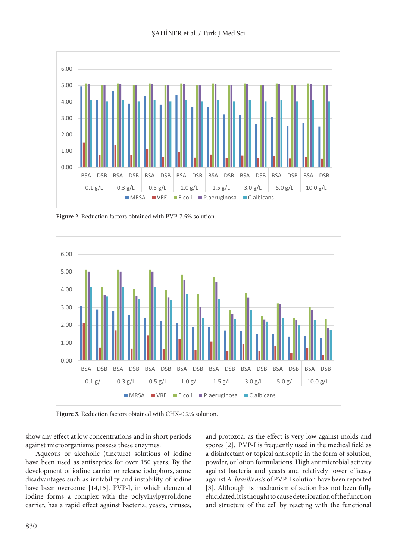

Figure 2. Reduction factors obtained with PVP-7.5% solution.



Figure 3. Reduction factors obtained with CHX-0.2% solution.

show any effect at low concentrations and in short periods against microorganisms possess these enzymes.

Aqueous or alcoholic (tincture) solutions of iodine have been used as antiseptics for over 150 years. By the development of iodine carrier or release iodophors, some disadvantages such as irritability and instability of iodine have been overcome [14,15]. PVP-I, in which elemental iodine forms a complex with the polyvinylpyrrolidone carrier, has a rapid effect against bacteria, yeasts, viruses, and protozoa, as the effect is very low against molds and spores [2]. PVP-I is frequently used in the medical field as a disinfectant or topical antiseptic in the form of solution, powder, or lotion formulations. High antimicrobial activity against bacteria and yeasts and relatively lower efficacy against *A. brasiliensis* of PVP-I solution have been reported [3]. Although its mechanism of action has not been fully elucidated, it is thought to cause deterioration of the function and structure of the cell by reacting with the functional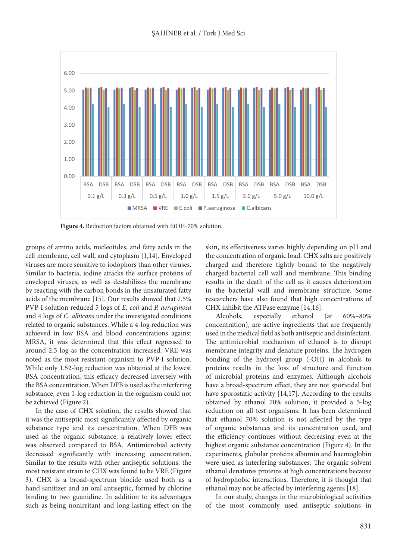

**Figure 4.** Reduction factors obtained with EtOH-70% solution.

groups of amino acids, nucleotides, and fatty acids in the cell membrane, cell wall, and cytoplasm [1,14]. Enveloped viruses are more sensitive to iodophors than other viruses. Similar to bacteria, iodine attacks the surface proteins of enveloped viruses, as well as destabilizes the membrane by reacting with the carbon bonds in the unsaturated fatty acids of the membrane [15]. Our results showed that 7.5% PVP-I solution reduced 5 logs of *E. coli* and *P. aeruginosa* and 4 logs of *C. albicans* under the investigated conditions related to organic substances. While a 4-log reduction was achieved in low BSA and blood concentrations against MRSA, it was determined that this effect regressed to around 2.5 log as the concentration increased. VRE was noted as the most resistant organism to PVP-I solution. While only 1.52-log reduction was obtained at the lowest BSA concentration, this efficacy decreased inversely with the BSA concentration. When DFB is used as the interfering substance, even 1-log reduction in the organism could not be achieved (Figure 2).

In the case of CHX solution, the results showed that it was the antiseptic most significantly affected by organic substance type and its concentration. When DFB was used as the organic substance, a relatively lower effect was observed compared to BSA. Antimicrobial activity decreased significantly with increasing concentration. Similar to the results with other antiseptic solutions, the most resistant strain to CHX was found to be VRE (Figure 3). CHX is a broad-spectrum biocide used both as a hand sanitizer and an oral antiseptic, formed by chlorine binding to two guanidine. In addition to its advantages such as being nonirritant and long-lasting effect on the

skin, its effectiveness varies highly depending on pH and the concentration of organic load. CHX salts are positively charged and therefore tightly bound to the negatively charged bacterial cell wall and membrane. This binding results in the death of the cell as it causes deterioration in the bacterial wall and membrane structure. Some researchers have also found that high concentrations of CHX inhibit the ATPase enzyme [14,16].

Alcohols, especially ethanol (at 60%–80% concentration), are active ingredients that are frequently used in the medical field as both antiseptic and disinfectant. The antimicrobial mechanism of ethanol is to disrupt membrane integrity and denature proteins. The hydrogen bonding of the hydroxyl group (-OH) in alcohols to proteins results in the loss of structure and function of microbial proteins and enzymes. Although alcohols have a broad-spectrum effect, they are not sporicidal but have sporostatic activity [14,17]. According to the results obtained by ethanol 70% solution, it provided a 5-log reduction on all test organisms. It has been determined that ethanol 70% solution is not affected by the type of organic substances and its concentration used, and the efficiency continues without decreasing even at the highest organic substance concentration (Figure 4). In the experiments, globular proteins albumin and haemoglobin were used as interfering substances. The organic solvent ethanol denatures proteins at high concentrations because of hydrophobic interactions. Therefore, it is thought that ethanol may not be affected by interfering agents [18].

In our study, changes in the microbiological activities of the most commonly used antiseptic solutions in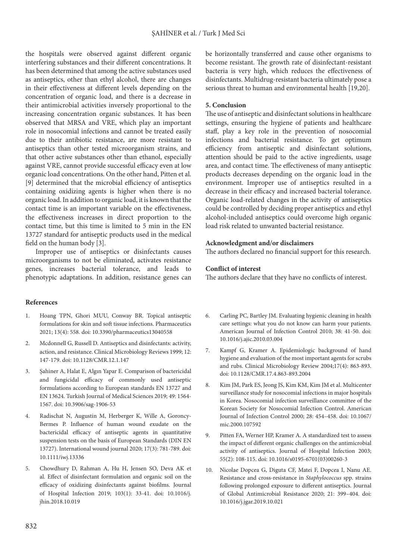the hospitals were observed against different organic interfering substances and their different concentrations. It has been determined that among the active substances used as antiseptics, other than ethyl alcohol, there are changes in their effectiveness at different levels depending on the concentration of organic load, and there is a decrease in their antimicrobial activities inversely proportional to the increasing concentration organic substances. It has been observed that MRSA and VRE, which play an important role in nosocomial infections and cannot be treated easily due to their antibiotic resistance, are more resistant to antiseptics than other tested microorganism strains, and that other active substances other than ethanol, especially against VRE, cannot provide successful efficacy even at low organic load concentrations. On the other hand, Pitten et al. [9] determined that the microbial efficiency of antiseptics containing oxidizing agents is higher when there is no organic load. In addition to organic load, it is known that the contact time is an important variable on the effectiveness, the effectiveness increases in direct proportion to the contact time, but this time is limited to 5 min in the EN 13727 standard for antiseptic products used in the medical field on the human body [3].

Improper use of antiseptics or disinfectants causes microorganisms to not be eliminated, activates resistance genes, increases bacterial tolerance, and leads to phenotypic adaptations. In addition, resistance genes can

#### **References**

- 1. Hoang TPN, Ghori MUU, Conway BR. Topical antiseptic formulations for skin and soft tissue infections. Pharmaceutics 2021; 13(4): 558. doi: 10.3390/pharmaceutics13040558
- 2. Mcdonnell G, Russell D. Antiseptics and disinfectants: activity, action, and resistance. Clinical Microbiology Reviews 1999; 12: 147-179. doi: 10.1128/CMR.12.1.147
- 3. Şahiner A, Halat E, Algın Yapar E. Comparison of bactericidal and fungicidal efficacy of commonly used antiseptic formulations according to European standards EN 13727 and EN 13624. Turkish Journal of Medical Sciences 2019; 49: 1564- 1567. doi: 10.3906/sag-1906-53
- 4. Radischat N, Augustin M, Herberger K, Wille A, Goroncy‐ Bermes P. Influence of human wound exudate on the bactericidal efficacy of antiseptic agents in quantitative suspension tests on the basis of European Standards (DIN EN 13727). International wound journal 2020; 17(3): 781-789. doi: 10.1111/iwj.13336
- 5. Chowdhury D, Rahman A, Hu H, Jensen SO, Deva AK et al. Effect of disinfectant formulation and organic soil on the efficacy of oxidizing disinfectants against biofilms. Journal of Hospital Infection 2019; 103(1): 33-41. doi: 10.1016/j. jhin.2018.10.019

be horizontally transferred and cause other organisms to become resistant. The growth rate of disinfectant-resistant bacteria is very high, which reduces the effectiveness of disinfectants. Multidrug-resistant bacteria ultimately pose a serious threat to human and environmental health [19,20].

#### **5. Conclusion**

The use of antiseptic and disinfectant solutions in healthcare settings, ensuring the hygiene of patients and healthcare staff, play a key role in the prevention of nosocomial infections and bacterial resistance. To get optimum efficiency from antiseptic and disinfectant solutions, attention should be paid to the active ingredients, usage area, and contact time. The effectiveness of many antiseptic products decreases depending on the organic load in the environment. Improper use of antiseptics resulted in a decrease in their efficacy and increased bacterial tolerance. Organic load-related changes in the activity of antiseptics could be controlled by deciding proper antiseptics and ethyl alcohol-included antiseptics could overcome high organic load risk related to unwanted bacterial resistance.

#### **Acknowledgment and/or disclaimers**

The authors declared no financial support for this research.

#### **Conflict of interest**

The authors declare that they have no conflicts of interest.

- 6. Carling PC, Bartley JM. Evaluating hygienic cleaning in health care settings: what you do not know can harm your patients. American Journal of Infection Control 2010; 38: 41-50. doi: 10.1016/j.ajic.2010.03.004
- 7. Kampf G, Kramer A. Epidemiologic background of hand hygiene and evaluation of the most important agents for scrubs and rubs. Clinical Microbiology Review 2004;17(4): 863-893. doi: 10.1128/CMR.17.4.863-893.2004
- 8. Kim JM, Park ES, Jeong JS, Kim KM, Kim JM et al. Multicenter surveillance study for nosocomial infections in major hospitals in Korea. Nosocomial infection surveillance committee of the Korean Society for Nosocomial Infection Control. American Journal of Infection Control 2000; 28: 454–458. doi: 10.1067/ mic.2000.107592
- 9. Pitten FA, Werner HP, Kramer A. A standardized test to assess the impact of different organic challenges on the antimicrobial activity of antiseptics. Journal of Hospital Infection 2003; 55(2): 108-115. doi: 10.1016/s0195-6701(03)00260-3
- 10. Nicolae Dopcea G, Diguta CF, Matei F, Dopcea I, Nanu AE. Resistance and cross-resistance in *Staphylococcus* spp. strains following prolonged exposure to different antiseptics. Journal of Global Antimicrobial Resistance 2020; 21: 399–404. doi: 10.1016/j.jgar.2019.10.021